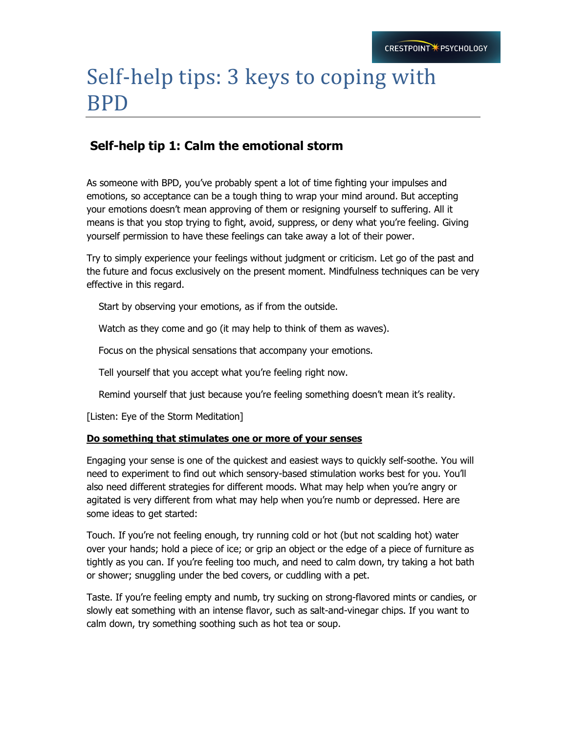# Self-help tips: 3 keys to coping with BPD

## **Self-help tip 1: Calm the emotional storm**

As someone with BPD, you've probably spent a lot of time fighting your impulses and emotions, so acceptance can be a tough thing to wrap your mind around. But accepting your emotions doesn't mean approving of them or resigning yourself to suffering. All it means is that you stop trying to fight, avoid, suppress, or deny what you're feeling. Giving yourself permission to have these feelings can take away a lot of their power.

Try to simply experience your feelings without judgment or criticism. Let go of the past and the future and focus exclusively on the present moment. Mindfulness techniques can be very effective in this regard.

Start by observing your emotions, as if from the outside.

Watch as they come and go (it may help to think of them as waves).

Focus on the physical sensations that accompany your emotions.

Tell yourself that you accept what you're feeling right now.

Remind yourself that just because you're feeling something doesn't mean it's reality.

[Listen: Eye of the Storm Meditation]

#### **Do something that stimulates one or more of your senses**

Engaging your sense is one of the quickest and easiest ways to quickly self-soothe. You will need to experiment to find out which sensory-based stimulation works best for you. You'll also need different strategies for different moods. What may help when you're angry or agitated is very different from what may help when you're numb or depressed. Here are some ideas to get started:

Touch. If you're not feeling enough, try running cold or hot (but not scalding hot) water over your hands; hold a piece of ice; or grip an object or the edge of a piece of furniture as tightly as you can. If you're feeling too much, and need to calm down, try taking a hot bath or shower; snuggling under the bed covers, or cuddling with a pet.

Taste. If you're feeling empty and numb, try sucking on strong-flavored mints or candies, or slowly eat something with an intense flavor, such as salt-and-vinegar chips. If you want to calm down, try something soothing such as hot tea or soup.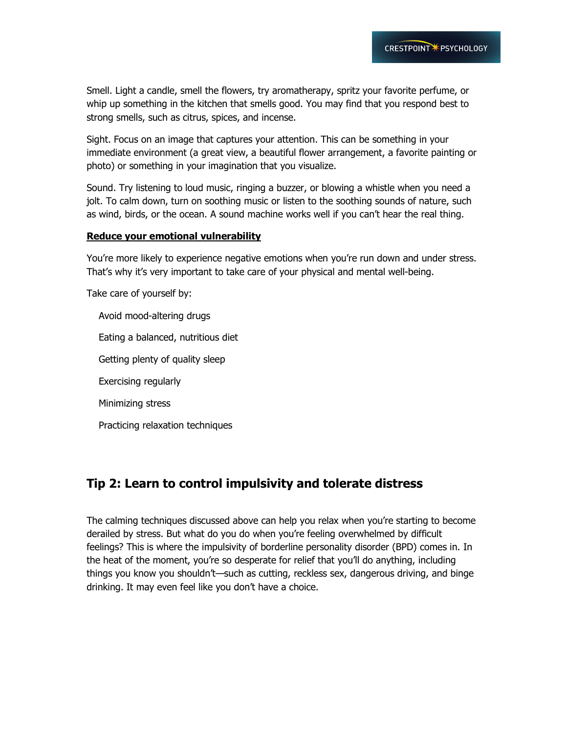Smell. Light a candle, smell the flowers, try aromatherapy, spritz your favorite perfume, or whip up something in the kitchen that smells good. You may find that you respond best to strong smells, such as citrus, spices, and incense.

Sight. Focus on an image that captures your attention. This can be something in your immediate environment (a great view, a beautiful flower arrangement, a favorite painting or photo) or something in your imagination that you visualize.

Sound. Try listening to loud music, ringing a buzzer, or blowing a whistle when you need a jolt. To calm down, turn on soothing music or listen to the soothing sounds of nature, such as wind, birds, or the ocean. A sound machine works well if you can't hear the real thing.

#### **Reduce your emotional vulnerability**

You're more likely to experience negative emotions when you're run down and under stress. That's why it's very important to take care of your physical and mental well-being.

Take care of yourself by:

 Avoid mood-altering drugs Eating a balanced, nutritious diet Getting plenty of quality sleep Exercising regularly Minimizing stress Practicing relaxation techniques

## **Tip 2: Learn to control impulsivity and tolerate distress**

The calming techniques discussed above can help you relax when you're starting to become derailed by stress. But what do you do when you're feeling overwhelmed by difficult feelings? This is where the impulsivity of borderline personality disorder (BPD) comes in. In the heat of the moment, you're so desperate for relief that you'll do anything, including things you know you shouldn't—such as cutting, reckless sex, dangerous driving, and binge drinking. It may even feel like you don't have a choice.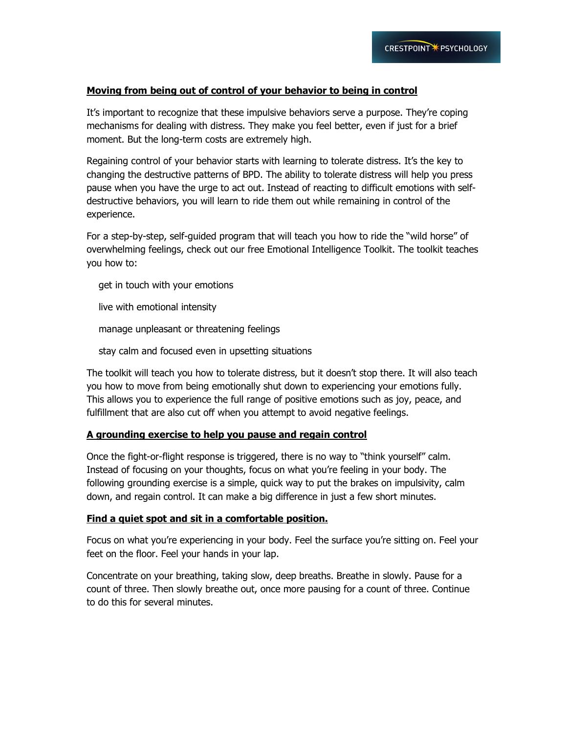#### **Moving from being out of control of your behavior to being in control**

It's important to recognize that these impulsive behaviors serve a purpose. They're coping mechanisms for dealing with distress. They make you feel better, even if just for a brief moment. But the long-term costs are extremely high.

Regaining control of your behavior starts with learning to tolerate distress. It's the key to changing the destructive patterns of BPD. The ability to tolerate distress will help you press pause when you have the urge to act out. Instead of reacting to difficult emotions with selfdestructive behaviors, you will learn to ride them out while remaining in control of the experience.

For a step-by-step, self-guided program that will teach you how to ride the "wild horse" of overwhelming feelings, check out our free Emotional Intelligence Toolkit. The toolkit teaches you how to:

get in touch with your emotions

live with emotional intensity

manage unpleasant or threatening feelings

stay calm and focused even in upsetting situations

The toolkit will teach you how to tolerate distress, but it doesn't stop there. It will also teach you how to move from being emotionally shut down to experiencing your emotions fully. This allows you to experience the full range of positive emotions such as joy, peace, and fulfillment that are also cut off when you attempt to avoid negative feelings.

#### **A grounding exercise to help you pause and regain control**

Once the fight-or-flight response is triggered, there is no way to "think yourself" calm. Instead of focusing on your thoughts, focus on what you're feeling in your body. The following grounding exercise is a simple, quick way to put the brakes on impulsivity, calm down, and regain control. It can make a big difference in just a few short minutes.

#### **Find a quiet spot and sit in a comfortable position.**

Focus on what you're experiencing in your body. Feel the surface you're sitting on. Feel your feet on the floor. Feel your hands in your lap.

Concentrate on your breathing, taking slow, deep breaths. Breathe in slowly. Pause for a count of three. Then slowly breathe out, once more pausing for a count of three. Continue to do this for several minutes.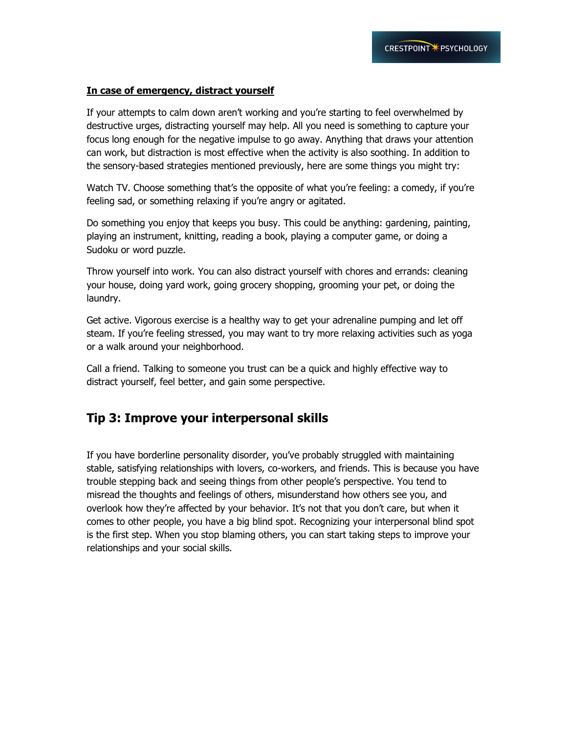#### **In case of emergency, distract yourself**

If your attempts to calm down aren't working and you're starting to feel overwhelmed by destructive urges, distracting yourself may help. All you need is something to capture your focus long enough for the negative impulse to go away. Anything that draws your attention can work, but distraction is most effective when the activity is also soothing. In addition to the sensory-based strategies mentioned previously, here are some things you might try:

Watch TV. Choose something that's the opposite of what you're feeling: a comedy, if you're feeling sad, or something relaxing if you're angry or agitated.

Do something you enjoy that keeps you busy. This could be anything: gardening, painting, playing an instrument, knitting, reading a book, playing a computer game, or doing a Sudoku or word puzzle.

Throw yourself into work. You can also distract yourself with chores and errands: cleaning your house, doing yard work, going grocery shopping, grooming your pet, or doing the laundry.

Get active. Vigorous exercise is a healthy way to get your adrenaline pumping and let off steam. If you're feeling stressed, you may want to try more relaxing activities such as yoga or a walk around your neighborhood.

Call a friend. Talking to someone you trust can be a quick and highly effective way to distract yourself, feel better, and gain some perspective.

### **Tip 3: Improve your interpersonal skills**

If you have borderline personality disorder, you've probably struggled with maintaining stable, satisfying relationships with lovers, co-workers, and friends. This is because you have trouble stepping back and seeing things from other people's perspective. You tend to misread the thoughts and feelings of others, misunderstand how others see you, and overlook how they're affected by your behavior. It's not that you don't care, but when it comes to other people, you have a big blind spot. Recognizing your interpersonal blind spot is the first step. When you stop blaming others, you can start taking steps to improve your relationships and your social skills.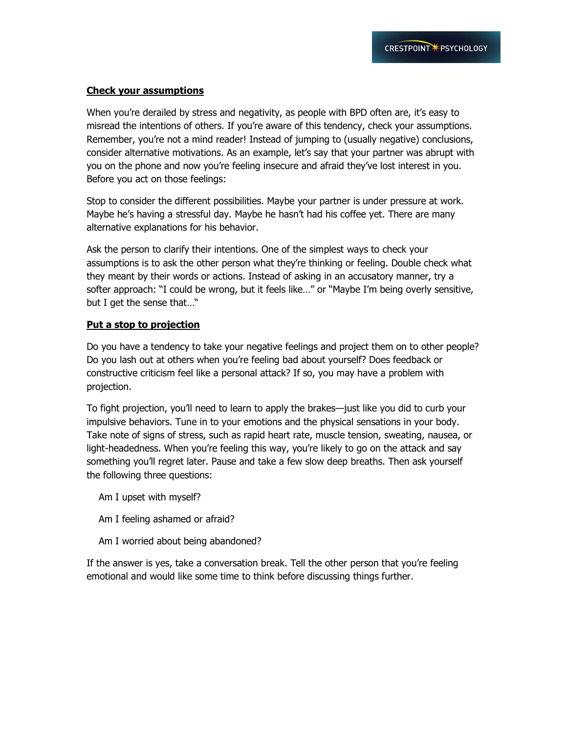#### **Check your assumptions**

When you're derailed by stress and negativity, as people with BPD often are, it's easy to misread the intentions of others. If you're aware of this tendency, check your assumptions. Remember, you're not a mind reader! Instead of jumping to (usually negative) conclusions, consider alternative motivations. As an example, let's say that your partner was abrupt with you on the phone and now you're feeling insecure and afraid they've lost interest in you. Before you act on those feelings:

Stop to consider the different possibilities. Maybe your partner is under pressure at work. Maybe he's having a stressful day. Maybe he hasn't had his coffee yet. There are many alternative explanations for his behavior.

Ask the person to clarify their intentions. One of the simplest ways to check your assumptions is to ask the other person what they're thinking or feeling. Double check what they meant by their words or actions. Instead of asking in an accusatory manner, try a softer approach: "I could be wrong, but it feels like..." or "Maybe I'm being overly sensitive, but I get the sense that…"

#### **Put a stop to projection**

Do you have a tendency to take your negative feelings and project them on to other people? Do you lash out at others when you're feeling bad about yourself? Does feedback or constructive criticism feel like a personal attack? If so, you may have a problem with projection.

To fight projection, you'll need to learn to apply the brakes—just like you did to curb your impulsive behaviors. Tune in to your emotions and the physical sensations in your body. Take note of signs of stress, such as rapid heart rate, muscle tension, sweating, nausea, or light-headedness. When you're feeling this way, you're likely to go on the attack and say something you'll regret later. Pause and take a few slow deep breaths. Then ask yourself the following three questions:

Am I upset with myself?

- Am I feeling ashamed or afraid?
- Am I worried about being abandoned?

If the answer is yes, take a conversation break. Tell the other person that you're feeling emotional and would like some time to think before discussing things further.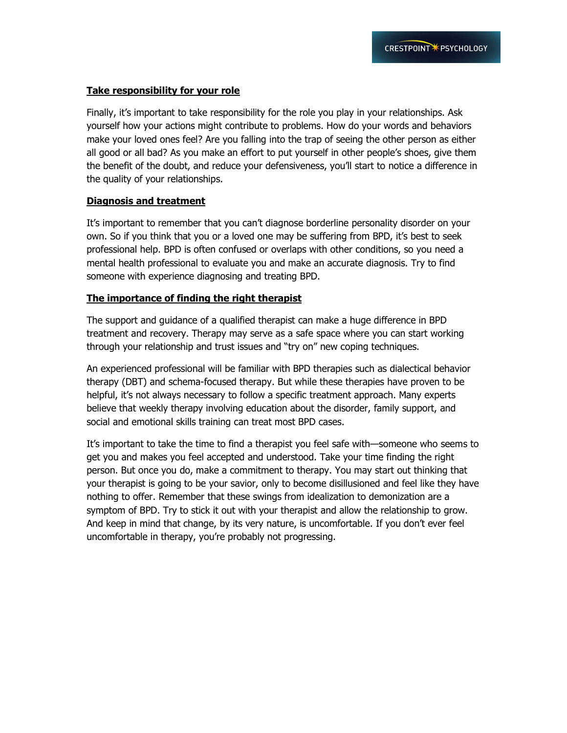#### **Take responsibility for your role**

Finally, it's important to take responsibility for the role you play in your relationships. Ask yourself how your actions might contribute to problems. How do your words and behaviors make your loved ones feel? Are you falling into the trap of seeing the other person as either all good or all bad? As you make an effort to put yourself in other people's shoes, give them the benefit of the doubt, and reduce your defensiveness, you'll start to notice a difference in the quality of your relationships.

#### **Diagnosis and treatment**

It's important to remember that you can't diagnose borderline personality disorder on your own. So if you think that you or a loved one may be suffering from BPD, it's best to seek professional help. BPD is often confused or overlaps with other conditions, so you need a mental health professional to evaluate you and make an accurate diagnosis. Try to find someone with experience diagnosing and treating BPD.

#### **The importance of finding the right therapist**

The support and guidance of a qualified therapist can make a huge difference in BPD treatment and recovery. Therapy may serve as a safe space where you can start working through your relationship and trust issues and "try on" new coping techniques.

An experienced professional will be familiar with BPD therapies such as dialectical behavior therapy (DBT) and schema-focused therapy. But while these therapies have proven to be helpful, it's not always necessary to follow a specific treatment approach. Many experts believe that weekly therapy involving education about the disorder, family support, and social and emotional skills training can treat most BPD cases.

It's important to take the time to find a therapist you feel safe with—someone who seems to get you and makes you feel accepted and understood. Take your time finding the right person. But once you do, make a commitment to therapy. You may start out thinking that your therapist is going to be your savior, only to become disillusioned and feel like they have nothing to offer. Remember that these swings from idealization to demonization are a symptom of BPD. Try to stick it out with your therapist and allow the relationship to grow. And keep in mind that change, by its very nature, is uncomfortable. If you don't ever feel uncomfortable in therapy, you're probably not progressing.